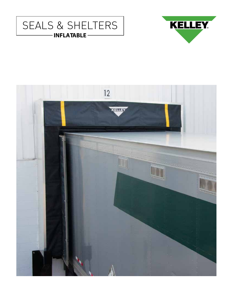



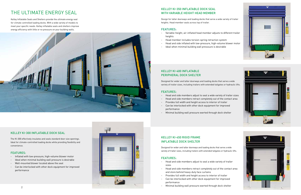## KELLEY KI-300 INFLATABLE DOCK SEAL

The KI-300 effectively insulates and seals standard door size openings. Ideal for climate-controlled loading docks while providing flexibility and convenience.

#### FEATURES:

- Inflated with low-pressure, high-volume blower motor
- Ideal when minimal building wall pressure is desirable
- Wall-mounted blower located above the seal
- Can be interlocked with other dock equipment for improved performance

# THE ULTIMATE ENERGY SEAL

- Variable-height, air-inflated head member adjusts to different trailer heights
- Head member includes torsion-spring retraction system
- Head and side inflated with low-pressure, high-volume blower motor
- Ideal when minimal building wall presssure is desirable

Kelley Inflatable Seals and Shelters provide the ultimate energy seal for climate controlled loading docks. With a wide variety of models to meet your specific needs. Kelley inflatable seals and shelters improve energy efficiency with little or no pressure on your building walls.



## KELLEY KI-350 INFLATABLE DOCK SEAL WITH VARIABLE HEIGHT HEAD MEMBER

Design for taller doorways and loading docks that serve a wide variety of trailer heights. Head member seals across top of trailer.

#### FEATURES:



## KELLEY KI-400 INFLATABLE PERIPHERAL DOCK SHELTER

Designed for wider and taller doorways and loading docks that serve a wide variety of trailer sizes, including trailers with extended tailgates or hydraulic lifts.

#### FEATURES:

- Head and side members adjust to seal a wide variety of trailer sizes
- Head and side members retract completely out of the contact area
- Provides full width and height access to interior of trailer
- Can be interlocked with other dock equipment for improved performance
- Minimal building wall pressure exerted through dock shelter

## KELLEY KI-450 RIGID FRAME INFLATABLE DOCK SHELTER

Designed for wider and taller doorways and loading docks that serve a wide variety of trailer sizes, including trailers with extended tailgates or hydraulic lifts.

## FEATURES:

- Head and side members adjust to seal a wide variety of trailer sizes
- Head and side members retract completely out of the contact area and store behind heavy-duty face curtains
- Provides full width and height access to interior of trailer
- Can be interlocked with other dock equipment for improved performance
-